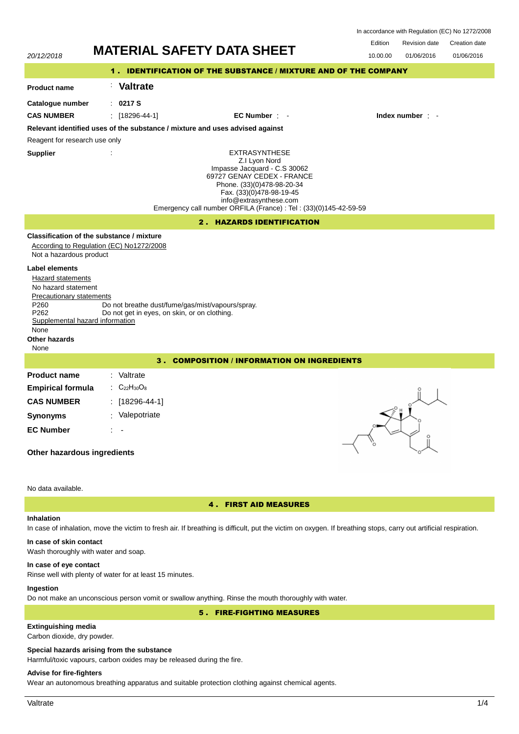In accordance with Regulation (EC) No 1272/2008

Revision date Edition Creation date



## **Inhalation**

4 . FIRST AID MEASURES

# In case of inhalation, move the victim to fresh air. If breathing is difficult, put the victim on oxygen. If breathing stops, carry out artificial respiration.

#### **In case of skin contact**

Wash thoroughly with water and soap.

### **In case of eye contact**

Rinse well with plenty of water for at least 15 minutes.

## **Ingestion**

Do not make an unconscious person vomit or swallow anything. Rinse the mouth thoroughly with water.

## 5 . FIRE-FIGHTING MEASURES

# **Extinguishing media**

Carbon dioxide, dry powder.

### **Special hazards arising from the substance**

Harmful/toxic vapours, carbon oxides may be released during the fire.

## **Advise for fire-fighters**

Wear an autonomous breathing apparatus and suitable protection clothing against chemical agents.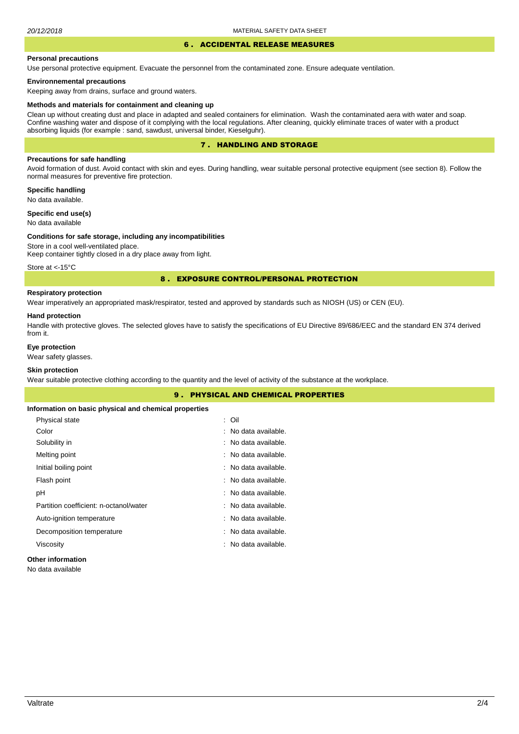#### 6 . ACCIDENTAL RELEASE MEASURES

#### **Personal precautions**

Use personal protective equipment. Evacuate the personnel from the contaminated zone. Ensure adequate ventilation.

### **Environnemental precautions**

Keeping away from drains, surface and ground waters.

#### **Methods and materials for containment and cleaning up**

Clean up without creating dust and place in adapted and sealed containers for elimination. Wash the contaminated aera with water and soap. Confine washing water and dispose of it complying with the local regulations. After cleaning, quickly eliminate traces of water with a product absorbing liquids (for example : sand, sawdust, universal binder, Kieselguhr).

## 7 . HANDLING AND STORAGE

## **Precautions for safe handling**

Avoid formation of dust. Avoid contact with skin and eyes. During handling, wear suitable personal protective equipment (see section 8). Follow the normal measures for preventive fire protection.

**Specific handling** No data available.

**Specific end use(s)**

# No data available

### **Conditions for safe storage, including any incompatibilities**

Store in a cool well-ventilated place. Keep container tightly closed in a dry place away from light.

Store at <-15°C

### 8 . EXPOSURE CONTROL/PERSONAL PROTECTION

# **Respiratory protection**

Wear imperatively an appropriated mask/respirator, tested and approved by standards such as NIOSH (US) or CEN (EU).

#### **Hand protection**

Handle with protective gloves. The selected gloves have to satisfy the specifications of EU Directive 89/686/EEC and the standard EN 374 derived from it.

## **Eye protection**

Wear safety glasses.

## **Skin protection**

Wear suitable protective clothing according to the quantity and the level of activity of the substance at the workplace.

|                                                       | <b>9. PHYSICAL AND CHEMICAL PROPERTIES</b> |  |
|-------------------------------------------------------|--------------------------------------------|--|
| Information on basic physical and chemical properties |                                            |  |
| Physical state                                        | : Oil                                      |  |
| Color                                                 | : No data available.                       |  |
| Solubility in                                         | : No data available.                       |  |
| Melting point                                         | : No data available.                       |  |
| Initial boiling point                                 | : No data available.                       |  |
| Flash point                                           | : No data available.                       |  |
| рH                                                    | : No data available.                       |  |
| Partition coefficient: n-octanol/water                | : No data available.                       |  |
| Auto-ignition temperature                             | : No data available.                       |  |
| Decomposition temperature                             | : No data available.                       |  |
| Viscosity                                             | : No data available.                       |  |
|                                                       |                                            |  |

## **Other information**

No data available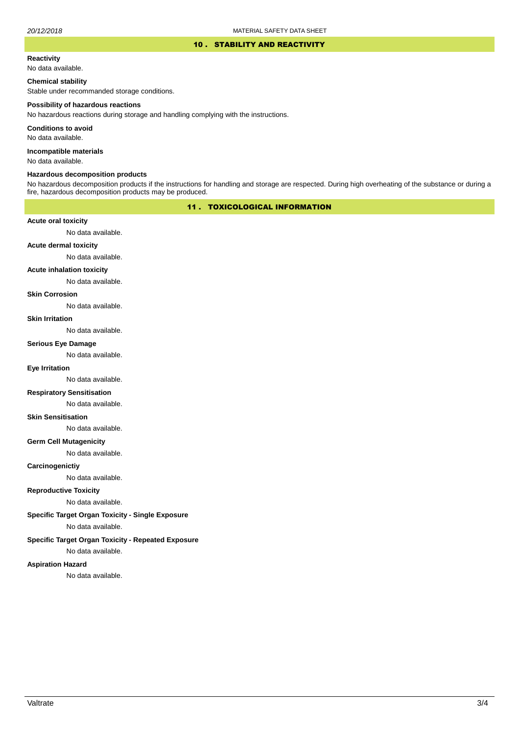### 10 . STABILITY AND REACTIVITY

### **Reactivity**

No data available.

## **Chemical stability**

Stable under recommanded storage conditions.

#### **Possibility of hazardous reactions**

No hazardous reactions during storage and handling complying with the instructions.

**Conditions to avoid**

No data available.

**Incompatible materials**

No data available.

### **Hazardous decomposition products**

No hazardous decomposition products if the instructions for handling and storage are respected. During high overheating of the substance or during a fire, hazardous decomposition products may be produced.

## 11 . TOXICOLOGICAL INFORMATION

### **Acute oral toxicity**

No data available.

# **Acute dermal toxicity**

No data available.

#### **Acute inhalation toxicity**

No data available.

## **Skin Corrosion**

No data available.

#### **Skin Irritation**

No data available.

# **Serious Eye Damage**

No data available.

## **Eye Irritation**

No data available.

### **Respiratory Sensitisation**

No data available.

### **Skin Sensitisation**

No data available.

### **Germ Cell Mutagenicity**

No data available.

### **Carcinogenictiy**

No data available.

## **Reproductive Toxicity**

No data available.

### **Specific Target Organ Toxicity - Single Exposure**

No data available.

### **Specific Target Organ Toxicity - Repeated Exposure**

No data available.

#### **Aspiration Hazard**

No data available.